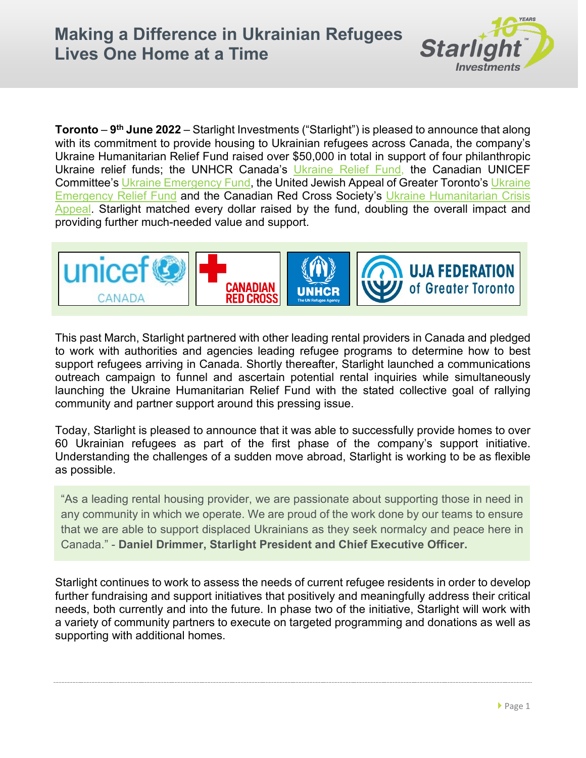

**Toronto** – **9th June 2022** – Starlight Investments ("Starlight") is pleased to announce that along with its commitment to provide housing to Ukrainian refugees across Canada, the company's Ukraine Humanitarian Relief Fund raised over \$50,000 in total in support of four philanthropic Ukraine relief funds; the UNHCR Canada's [Ukraine Relief Fund,](https://give.unhcr.ca/page/100190/donate/1?ea.tracking.id=SEM22_EUR&utm_source=google&utm_medium=cpc&utm_campaign=CA_PS_EN_UA&gclid=CjwKCAjw7vuUBhBUEiwAEdu2pDe4NGxqobSvTeEVFMu7z2UGE5CIlwcXU3OZ-Q8husR8YxZWNKTX3RoCV1UQAvD_BwE&gclsrc=aw.ds) the Canadian UNICEF Committee's [Ukraine Emergency Fund,](https://secure.unicef.ca/page/98630/donate/1?locale=en-US) the United Jewish Appeal of Greater Toronto's [Ukraine](https://jewishtoronto.com/ukraine-emergency-relief-fund)  [Emergency Relief Fund](https://jewishtoronto.com/ukraine-emergency-relief-fund) and the Canadian Red Cross Society's [Ukraine Humanitarian Crisis](https://www.redcross.ca/donate/appeal/donate-to-the-ukraine-humanitarian-crisis-appeal#9cfdcd2b-85a7-4899-ada2-f8bdae8d0939)  [Appeal.](https://www.redcross.ca/donate/appeal/donate-to-the-ukraine-humanitarian-crisis-appeal#9cfdcd2b-85a7-4899-ada2-f8bdae8d0939) Starlight matched every dollar raised by the fund, doubling the overall impact and providing further much-needed value and support.



This past March, Starlight partnered with other leading rental providers in Canada and pledged to work with authorities and agencies leading refugee programs to determine how to best support refugees arriving in Canada. Shortly thereafter, Starlight launched a communications outreach campaign to funnel and ascertain potential rental inquiries while simultaneously launching the Ukraine Humanitarian Relief Fund with the stated collective goal of rallying community and partner support around this pressing issue.

Today, Starlight is pleased to announce that it was able to successfully provide homes to over 60 Ukrainian refugees as part of the first phase of the company's support initiative. Understanding the challenges of a sudden move abroad, Starlight is working to be as flexible as possible.

"As a leading rental housing provider, we are passionate about supporting those in need in any community in which we operate. We are proud of the work done by our teams to ensure that we are able to support displaced Ukrainians as they seek normalcy and peace here in Canada." - **Daniel Drimmer, Starlight President and Chief Executive Officer.**

Starlight continues to work to assess the needs of current refugee residents in order to develop further fundraising and support initiatives that positively and meaningfully address their critical needs, both currently and into the future. In phase two of the initiative, Starlight will work with a variety of community partners to execute on targeted programming and donations as well as supporting with additional homes.